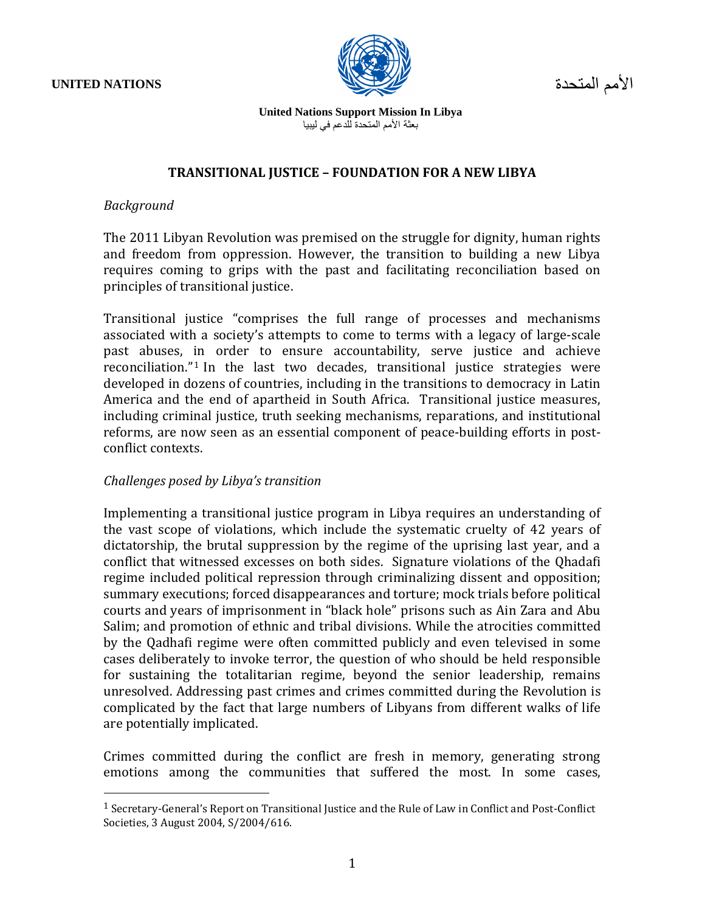**UNITED NATIONS**

 $\overline{a}$ 



األمم المتحدة

**United Nations Support Mission In Libya** بعثة الأمم المتحدة للدعم في ليبيا

#### **TRANSITIONAL JUSTICE – FOUNDATION FOR A NEW LIBYA**

#### *Background*

The 2011 Libyan Revolution was premised on the struggle for dignity, human rights and freedom from oppression. However, the transition to building a new Libya requires coming to grips with the past and facilitating reconciliation based on principles of transitional justice.

Transitional justice "comprises the full range of processes and mechanisms associated with a society's attempts to come to terms with a legacy of large-scale past abuses, in order to ensure accountability, serve justice and achieve reconciliation."<sup>1</sup> In the last two decades, transitional justice strategies were developed in dozens of countries, including in the transitions to democracy in Latin America and the end of apartheid in South Africa. Transitional justice measures, including criminal justice, truth seeking mechanisms, reparations, and institutional reforms, are now seen as an essential component of peace-building efforts in postconflict contexts.

# *Challenges posed by Libya's transition*

Implementing a transitional justice program in Libya requires an understanding of the vast scope of violations, which include the systematic cruelty of 42 years of dictatorship, the brutal suppression by the regime of the uprising last year, and a conflict that witnessed excesses on both sides. Signature violations of the Qhadafi regime included political repression through criminalizing dissent and opposition; summary executions; forced disappearances and torture; mock trials before political courts and years of imprisonment in "black hole" prisons such as Ain Zara and Abu Salim; and promotion of ethnic and tribal divisions. While the atrocities committed by the Qadhafi regime were often committed publicly and even televised in some cases deliberately to invoke terror, the question of who should be held responsible for sustaining the totalitarian regime, beyond the senior leadership, remains unresolved. Addressing past crimes and crimes committed during the Revolution is complicated by the fact that large numbers of Libyans from different walks of life are potentially implicated.

Crimes committed during the conflict are fresh in memory, generating strong emotions among the communities that suffered the most. In some cases,

<sup>1</sup> Secretary-General's Report on Transitional Justice and the Rule of Law in Conflict and Post-Conflict Societies, 3 August 2004, S/2004/616.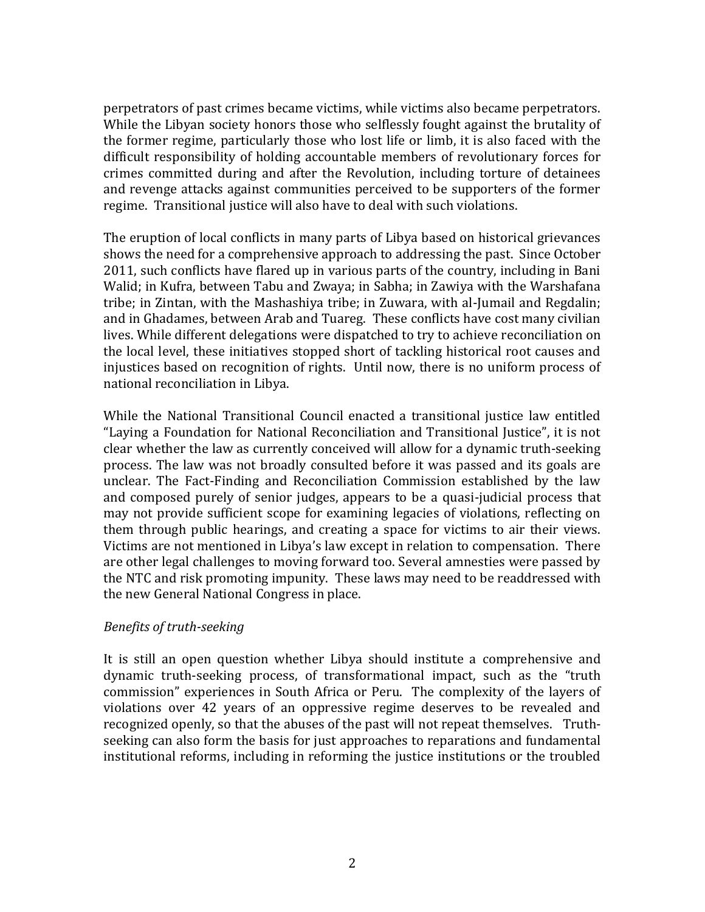perpetrators of past crimes became victims, while victims also became perpetrators. While the Libyan society honors those who selflessly fought against the brutality of the former regime, particularly those who lost life or limb, it is also faced with the difficult responsibility of holding accountable members of revolutionary forces for crimes committed during and after the Revolution, including torture of detainees and revenge attacks against communities perceived to be supporters of the former regime. Transitional justice will also have to deal with such violations.

The eruption of local conflicts in many parts of Libya based on historical grievances shows the need for a comprehensive approach to addressing the past. Since October 2011, such conflicts have flared up in various parts of the country, including in Bani Walid; in Kufra, between Tabu and Zwaya; in Sabha; in Zawiya with the Warshafana tribe; in Zintan, with the Mashashiya tribe; in Zuwara, with al-Jumail and Regdalin; and in Ghadames, between Arab and Tuareg. These conflicts have cost many civilian lives. While different delegations were dispatched to try to achieve reconciliation on the local level, these initiatives stopped short of tackling historical root causes and injustices based on recognition of rights. Until now, there is no uniform process of national reconciliation in Libya.

While the National Transitional Council enacted a transitional justice law entitled "Laying a Foundation for National Reconciliation and Transitional Justice", it is not clear whether the law as currently conceived will allow for a dynamic truth-seeking process. The law was not broadly consulted before it was passed and its goals are unclear. The Fact-Finding and Reconciliation Commission established by the law and composed purely of senior judges, appears to be a quasi-judicial process that may not provide sufficient scope for examining legacies of violations, reflecting on them through public hearings, and creating a space for victims to air their views. Victims are not mentioned in Libya's law except in relation to compensation. There are other legal challenges to moving forward too. Several amnesties were passed by the NTC and risk promoting impunity. These laws may need to be readdressed with the new General National Congress in place.

# *Benefits of truth-seeking*

It is still an open question whether Libya should institute a comprehensive and dynamic truth-seeking process, of transformational impact, such as the "truth commission" experiences in South Africa or Peru. The complexity of the layers of violations over 42 years of an oppressive regime deserves to be revealed and recognized openly, so that the abuses of the past will not repeat themselves. Truthseeking can also form the basis for just approaches to reparations and fundamental institutional reforms, including in reforming the justice institutions or the troubled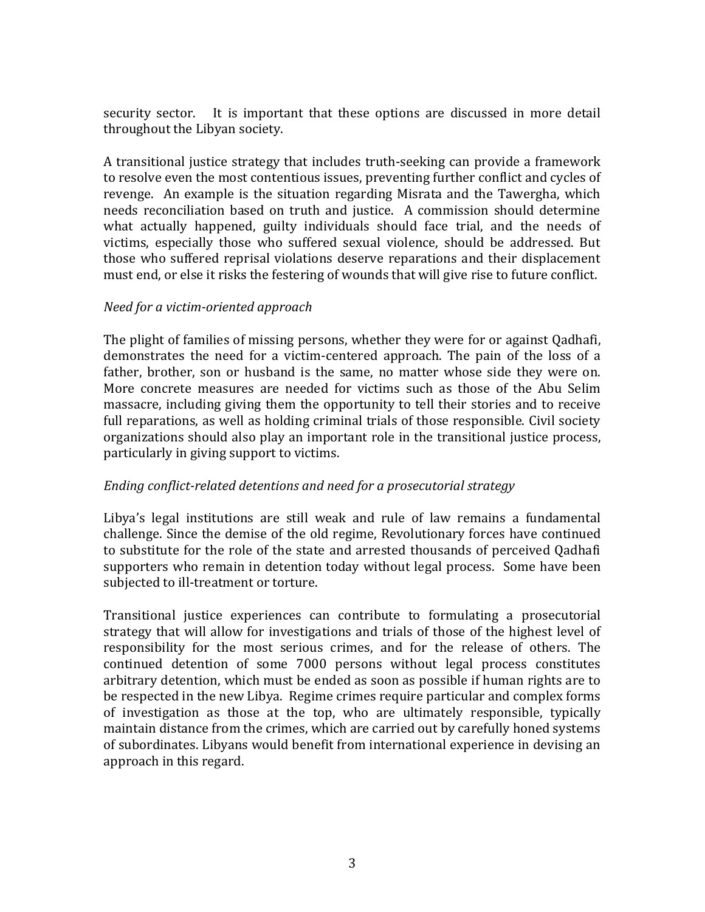security sector. It is important that these options are discussed in more detail throughout the Libyan society.

A transitional justice strategy that includes truth-seeking can provide a framework to resolve even the most contentious issues, preventing further conflict and cycles of revenge. An example is the situation regarding Misrata and the Tawergha, which needs reconciliation based on truth and justice. A commission should determine what actually happened, guilty individuals should face trial, and the needs of victims, especially those who suffered sexual violence, should be addressed. But those who suffered reprisal violations deserve reparations and their displacement must end, or else it risks the festering of wounds that will give rise to future conflict.

### *Need for a victim-oriented approach*

The plight of families of missing persons, whether they were for or against Qadhafi, demonstrates the need for a victim-centered approach. The pain of the loss of a father, brother, son or husband is the same, no matter whose side they were on. More concrete measures are needed for victims such as those of the Abu Selim massacre, including giving them the opportunity to tell their stories and to receive full reparations, as well as holding criminal trials of those responsible. Civil society organizations should also play an important role in the transitional justice process, particularly in giving support to victims.

#### *Ending conflict-related detentions and need for a prosecutorial strategy*

Libya's legal institutions are still weak and rule of law remains a fundamental challenge. Since the demise of the old regime, Revolutionary forces have continued to substitute for the role of the state and arrested thousands of perceived Qadhafi supporters who remain in detention today without legal process. Some have been subjected to ill-treatment or torture.

Transitional justice experiences can contribute to formulating a prosecutorial strategy that will allow for investigations and trials of those of the highest level of responsibility for the most serious crimes, and for the release of others. The continued detention of some 7000 persons without legal process constitutes arbitrary detention, which must be ended as soon as possible if human rights are to be respected in the new Libya. Regime crimes require particular and complex forms of investigation as those at the top, who are ultimately responsible, typically maintain distance from the crimes, which are carried out by carefully honed systems of subordinates. Libyans would benefit from international experience in devising an approach in this regard.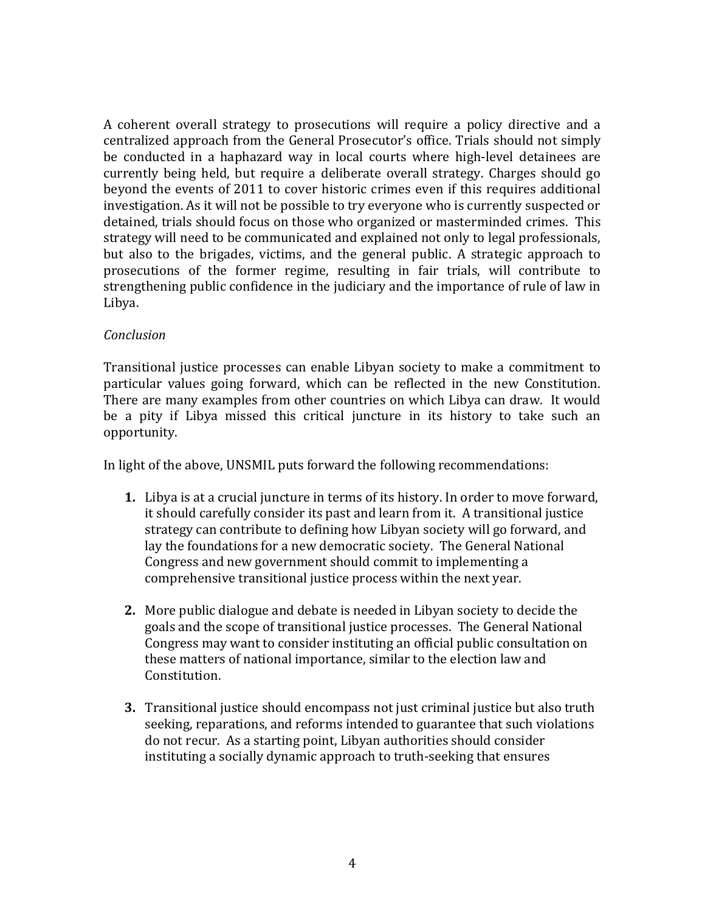A coherent overall strategy to prosecutions will require a policy directive and a centralized approach from the General Prosecutor's office. Trials should not simply be conducted in a haphazard way in local courts where high-level detainees are currently being held, but require a deliberate overall strategy. Charges should go beyond the events of 2011 to cover historic crimes even if this requires additional investigation. As it will not be possible to try everyone who is currently suspected or detained, trials should focus on those who organized or masterminded crimes. This strategy will need to be communicated and explained not only to legal professionals, but also to the brigades, victims, and the general public. A strategic approach to prosecutions of the former regime, resulting in fair trials, will contribute to strengthening public confidence in the judiciary and the importance of rule of law in Libya.

# *Conclusion*

Transitional justice processes can enable Libyan society to make a commitment to particular values going forward, which can be reflected in the new Constitution. There are many examples from other countries on which Libya can draw. It would be a pity if Libya missed this critical juncture in its history to take such an opportunity.

In light of the above, UNSMIL puts forward the following recommendations:

- **1.** Libya is at a crucial juncture in terms of its history. In order to move forward, it should carefully consider its past and learn from it. A transitional justice strategy can contribute to defining how Libyan society will go forward, and lay the foundations for a new democratic society. The General National Congress and new government should commit to implementing a comprehensive transitional justice process within the next year.
- **2.** More public dialogue and debate is needed in Libyan society to decide the goals and the scope of transitional justice processes. The General National Congress may want to consider instituting an official public consultation on these matters of national importance, similar to the election law and Constitution.
- **3.** Transitional justice should encompass not just criminal justice but also truth seeking, reparations, and reforms intended to guarantee that such violations do not recur. As a starting point, Libyan authorities should consider instituting a socially dynamic approach to truth-seeking that ensures